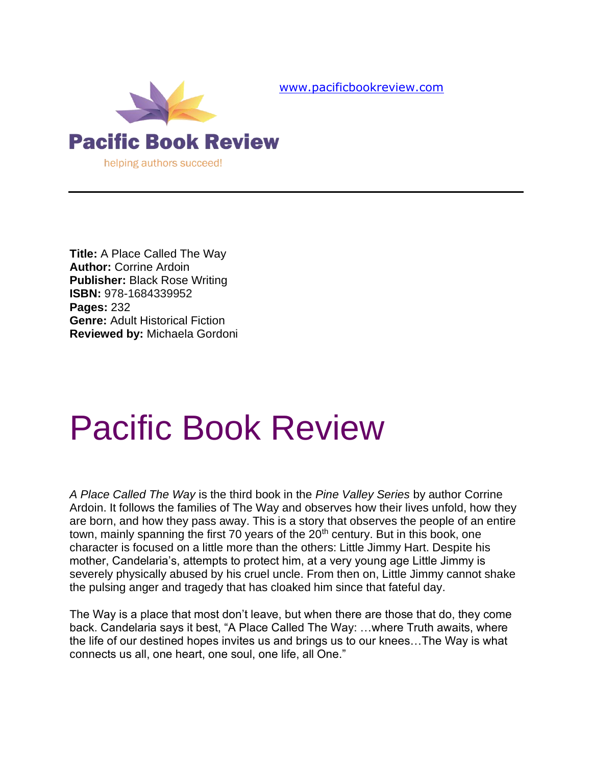

[www.pacificbookreview.com](http://www.pacificbookreview.com/)

**Title:** A Place Called The Way **Author:** Corrine Ardoin **Publisher:** Black Rose Writing **ISBN:** 978-1684339952 **Pages:** 232 **Genre:** Adult Historical Fiction **Reviewed by:** Michaela Gordoni

## Pacific Book Review

*A Place Called The Way* is the third book in the *Pine Valley Series* by author Corrine Ardoin. It follows the families of The Way and observes how their lives unfold, how they are born, and how they pass away. This is a story that observes the people of an entire town, mainly spanning the first 70 years of the 20<sup>th</sup> century. But in this book, one character is focused on a little more than the others: Little Jimmy Hart. Despite his mother, Candelaria's, attempts to protect him, at a very young age Little Jimmy is severely physically abused by his cruel uncle. From then on, Little Jimmy cannot shake the pulsing anger and tragedy that has cloaked him since that fateful day.

The Way is a place that most don't leave, but when there are those that do, they come back. Candelaria says it best, "A Place Called The Way: …where Truth awaits, where the life of our destined hopes invites us and brings us to our knees…The Way is what connects us all, one heart, one soul, one life, all One."